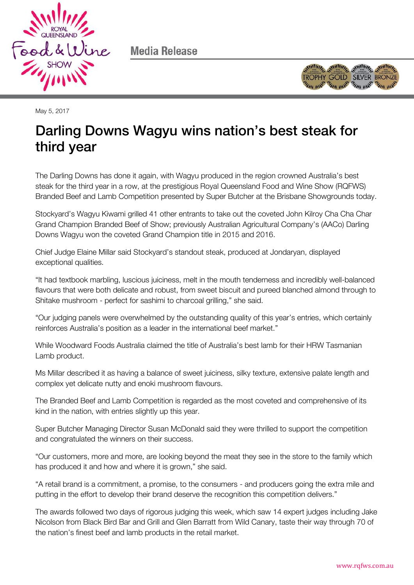

Media Release



May 5, 2017

# Darling Downs Wagyu wins nation's best steak for  $\frac{1}{\sqrt{2}}$

The Darling Downs has done it again, with Wagyu produced in the region crowned Australia's best steak for the third year in a row, at the prestigious Royal Queensland Food and Wine Show (RQFWS) Branded Beef and Lamb Competition presented by Super Butcher at the Brisbane Showgrounds today.

Stockyard's Wagyu Kiwami grilled 41 other entrants to take out the coveted John Kilroy Cha Cha Char Grand Champion Branded Beef of Show; previously Australian Agricultural Company's (AACo) Darling Downs Wagyu won the coveted Grand Champion title in 2015 and 2016.

Chief Judge Elaine Millar said Stockyard's standout steak, produced at Jondaryan, displayed exceptional qualities.

"It had textbook marbling, luscious juiciness, melt in the mouth tenderness and incredibly well-balanced flavours that were both delicate and robust, from sweet biscuit and pureed blanched almond through to Shitake mushroom - perfect for sashimi to charcoal grilling," she said.

"Our judging panels were overwhelmed by the outstanding quality of this year's entries, which certainly reinforces Australia's position as a leader in the international beef market."

While Woodward Foods Australia claimed the title of Australia's best lamb for their HRW Tasmanian Lamb product.

Ms Millar described it as having a balance of sweet juiciness, silky texture, extensive palate length and complex yet delicate nutty and enoki mushroom flavours.

The Branded Beef and Lamb Competition is regarded as the most coveted and comprehensive of its kind in the nation, with entries slightly up this year.

Super Butcher Managing Director Susan McDonald said they were thrilled to support the competition and congratulated the winners on their success.

"Our customers, more and more, are looking beyond the meat they see in the store to the family which has produced it and how and where it is grown," she said.

"A retail brand is a commitment, a promise, to the consumers - and producers going the extra mile and putting in the effort to develop their brand deserve the recognition this competition delivers."

The awards followed two days of rigorous judging this week, which saw 14 expert judges including Jake Nicolson from Black Bird Bar and Grill and Glen Barratt from Wild Canary, taste their way through 70 of the nation's finest beef and lamb products in the retail market.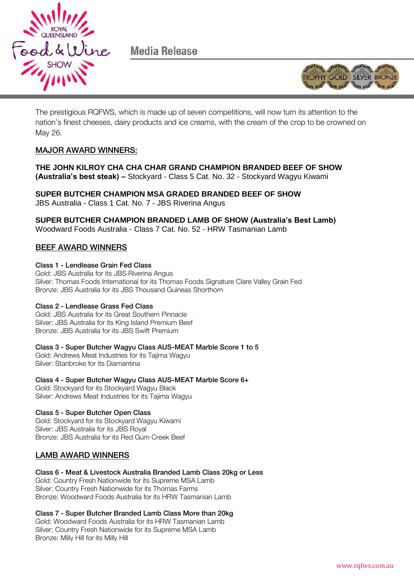

Media Release



The prestigious RQFWS, which is made up of seven competitions, will now turn its attention to the nation's finest cheeses, dairy products and ice creams, with the cream of the crop to be crowned on May 26.

### MAJOR AWARD WINNERS WINNERS WINNERS

**THE JOHN KILROY CHA CHA CHAR GRAND CHAMPION BRANDED BEEF OF SHOW (Australia's best steak) –** Stockyard - Class 5 Cat. No. 32 - Stockyard Wagyu Kiwami

**SUPER BUTCHER CHAMPION MSA GRADED BRANDED BEEF OF SHOW** JBS Australia - Class 1 Cat. No. 7 - JBS Riverina Angus

**SUPER BUTCHER CHAMPION BRANDED LAMB OF SHOW (Australia's Best Lamb)** Woodward Foods Australia - Class 7 Cat. No. 52 - HRW Tasmanian Lamb

## <u>BEEF AWARD WINNERS</u>

### Class 1 - Lendlease Grain Fed Class

Gold: JBS Australia for its JBS Riverina Angus Silver: Thomas Foods International for its Thomas Foods Signature Clare Valley Grain Fed Bronze: JBS Australia for its JBS Thousand Guineas Shorthorn

### Class 2 - Lendlease Grass Fed Class

Gold: JBS Australia for its Great Southern Pinnacle Silver: JBS Australia for its King Island Premium Beef Bronze: JBS Australia for its JBS Swift Premium

Cold: Andrews Meat Industries for its Tajima Wagyu Silver: Stanbroke for its Diamantina

Class 4 - Super Butcher Wagyu Class AUS-MEAT Marble Score 6+ Gold: Stockyard for its Stockyard Wagyu Black Silver: Andrews Meat Industries for its Tajima Wagyu

Gold: Stockyard for its Stockyard Wagyu Kiwami Silver: JBS Australia for its JBS Royal Bronze: JBS Australia for its Red Gum Creek Beef

## LAMB AWARD WINNERS

Gold: Country Fresh Nationwide for its Supreme MSA Lamb Silver: Country Fresh Nationwide for its Thomas Farms Bronze: Woodward Foods Australia for its HRW Tasmanian Lamb

Class 7 - Super Butcher Branded Lamb Class More than 20kg Gold: Woodward Foods Australia for its HRW Tasmanian Lamb Silver: Country Fresh Nationwide for its Supreme MSA Lamb Bronze: Milly Hill for its Milly Hill